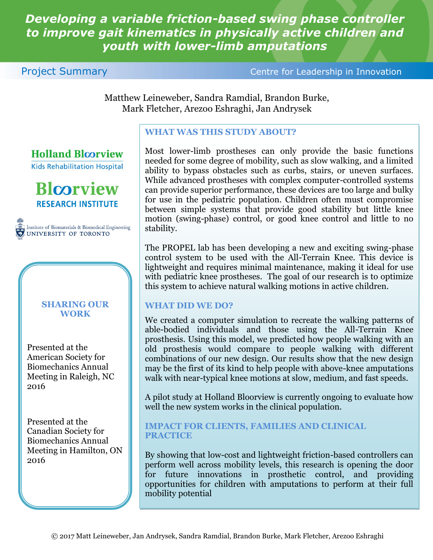# *Developing a variable friction-based swing phase controller to improve gait kinematics in physically active children and youth with lower-limb amputations*

#### **Project Summary Centre for Leadership in Innovation**

Matthew Leineweber, Sandra Ramdial, Brandon Burke, Mark Fletcher, Arezoo Eshraghi, Jan Andrysek

## **WHAT WAS THIS STUDY ABOUT?**

Most lower-limb prostheses can only provide the basic functions needed for some degree of mobility, such as slow walking, and a limited ability to bypass obstacles such as curbs, stairs, or uneven surfaces. While advanced prostheses with complex computer-controlled systems can provide superior performance, these devices are too large and bulky for use in the pediatric population. Children often must compromise between simple systems that provide good stability but little knee motion (swing-phase) control, or good knee control and little to no stability.

The PROPEL lab has been developing a new and exciting swing-phase control system to be used with the All-Terrain Knee. This device is lightweight and requires minimal maintenance, making it ideal for use with pediatric knee prostheses. The goal of our research is to optimize this system to achieve natural walking motions in active children.

### **WHAT DID WE DO?**

We created a computer simulation to recreate the walking patterns of able-bodied individuals and those using the All-Terrain Knee prosthesis. Using this model, we predicted how people walking with an old prosthesis would compare to people walking with different combinations of our new design. Our results show that the new design may be the first of its kind to help people with above-knee amputations walk with near-typical knee motions at slow, medium, and fast speeds.

A pilot study at Holland Bloorview is currently ongoing to evaluate how well the new system works in the clinical population.

#### **IMPACT FOR CLIENTS, FAMILIES AND CLINICAL PRACTICE**

By showing that low-cost and lightweight friction-based controllers can perform well across mobility levels, this research is opening the door for future innovations in prosthetic control, and providing opportunities for children with amputations to perform at their full mobility potential



**Holland Bloorview** 

**Blcorview RESEARCH INSTITUTE** 

Institute of Biomaterials & Biomedical Engineering UNIVERSITY OF TORONTO

#### **SHARING OUR WORK**

Presented at the American Society for Biomechanics Annual Meeting in Raleigh, NC 2016

Presented at the Canadian Society for Biomechanics Annual Meeting in Hamilton, ON 2016